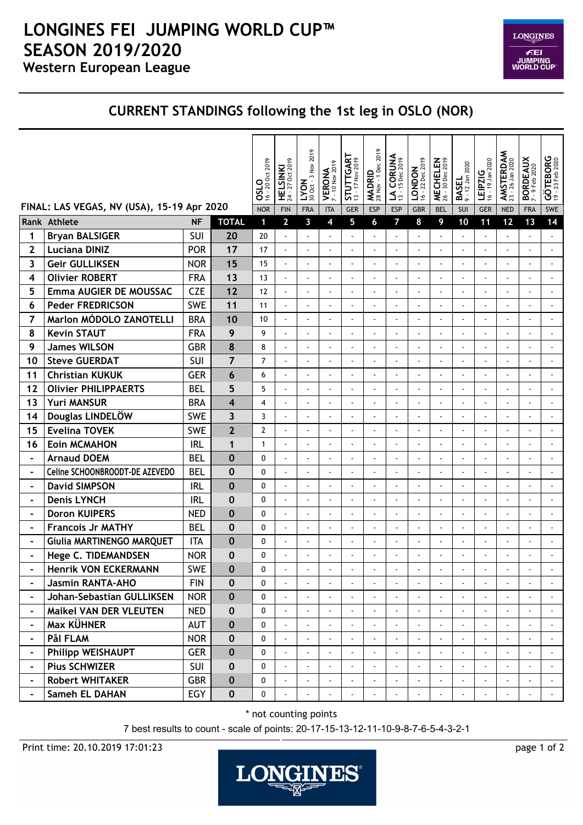## **Western European League LONGINES FEI JUMPING WORLD CUP™ SEASON 2019/2020**

 $\color{red}\textbf{LONGINES}$ **FEI<br>JUMPING<br>WORLD CUP** 

## **CURRENT STANDINGS following the 1st leg in OSLO (NOR)**

|                                            |                                |            |                | <b>OSLO</b><br>16 - 20 Oct 2019 | HELSINKI<br>24 - 27 Oct 2019 | $LYON$<br>30 Oct - 3 Nov 2019 | $VEROMA$<br>7 - 10 Nov 2019 | STUTTGART<br>13 - 17 Nov 2019 | MADRID<br>28 Nov - 1 Dec 2019 | LA CORUNA      | <b>LONDON</b><br>$16 - 22 \text{ Dec } 2019$ | MECHELEN<br>26 - 30 Dec 2019 | <b>BASEL</b><br>9 - 12 Jan 2020 | 16 - 19 Jan 2020<br><b>LEIPZIG</b> | AMSTERDAM<br>23 - 26 Jan 2020 | BORDEAUX<br>7-9 Feb 2020 | GÖTEBORG<br>19 - 23 Feb 2020 |
|--------------------------------------------|--------------------------------|------------|----------------|---------------------------------|------------------------------|-------------------------------|-----------------------------|-------------------------------|-------------------------------|----------------|----------------------------------------------|------------------------------|---------------------------------|------------------------------------|-------------------------------|--------------------------|------------------------------|
| FINAL: LAS VEGAS, NV (USA), 15-19 Apr 2020 |                                |            | <b>NOR</b>     | <b>FIN</b>                      | <b>FRA</b>                   | <b>ITA</b>                    | <b>GER</b>                  | <b>ESP</b>                    | <b>ESP</b>                    | <b>GBR</b>     | <b>BEL</b>                                   | SUI                          | <b>GER</b>                      | <b>NED</b>                         | <b>FRA</b>                    | SWE                      |                              |
|                                            | Rank Athlete                   | <b>NF</b>  | <b>TOTAL</b>   | $\blacksquare$                  | $\mathbf{2}$                 | 3                             | 4                           | 5                             | 6                             | $\overline{7}$ | 8                                            | 9                            | 10                              | 11                                 | 12                            | 13                       | 14                           |
| 1                                          | <b>Bryan BALSIGER</b>          | SUI        | 20             | 20                              |                              |                               |                             |                               |                               |                |                                              |                              |                                 |                                    |                               |                          |                              |
| 2                                          | <b>Luciana DINIZ</b>           | <b>POR</b> | 17             | 17                              | ÷,                           |                               |                             |                               | ä,                            |                |                                              |                              |                                 |                                    |                               | $\blacksquare$           |                              |
| 3                                          | <b>Geir GULLIKSEN</b>          | <b>NOR</b> | 15             | 15                              | $\tilde{\phantom{a}}$        |                               |                             |                               |                               |                |                                              |                              | $\blacksquare$                  |                                    |                               |                          |                              |
| 4                                          | <b>Olivier ROBERT</b>          | <b>FRA</b> | 13             | 13                              |                              |                               |                             |                               |                               |                |                                              |                              |                                 |                                    |                               | $\overline{a}$           |                              |
| 5                                          | <b>Emma AUGIER DE MOUSSAC</b>  | <b>CZE</b> | 12             | 12                              | ÷,                           |                               |                             |                               |                               |                |                                              |                              |                                 |                                    |                               | $\overline{a}$           |                              |
| 6                                          | <b>Peder FREDRICSON</b>        | <b>SWE</b> | 11             | 11                              | ÷,                           |                               | ÷,                          | ä,                            | ÷,                            | ä,             | $\blacksquare$                               |                              | ä,                              | ÷,                                 |                               | ÷,                       |                              |
| 7                                          | Marlon MÓDOLO ZANOTELLI        | <b>BRA</b> | 10             | 10                              |                              |                               |                             |                               |                               |                |                                              |                              |                                 |                                    |                               | $\overline{a}$           |                              |
| 8                                          | <b>Kevin STAUT</b>             | <b>FRA</b> | 9              | 9                               | $\ddot{\phantom{a}}$         |                               |                             |                               |                               |                |                                              |                              |                                 |                                    |                               | ÷,                       |                              |
| 9                                          | <b>James WILSON</b>            | <b>GBR</b> | 8              | 8                               | ÷                            |                               |                             |                               |                               |                |                                              |                              |                                 |                                    |                               |                          |                              |
| 10                                         | <b>Steve GUERDAT</b>           | <b>SUI</b> | $\overline{7}$ | $\overline{7}$                  | ÷,                           |                               | ÷,                          |                               |                               |                |                                              |                              | ä,                              |                                    | ÷,                            | $\blacksquare$           |                              |
| 11                                         | <b>Christian KUKUK</b>         | <b>GER</b> | 6              | 6                               | $\ddot{\phantom{a}}$         |                               |                             |                               |                               |                |                                              |                              |                                 |                                    |                               | $\blacksquare$           |                              |
| 12                                         | <b>Olivier PHILIPPAERTS</b>    | <b>BEL</b> | 5              | 5                               |                              |                               |                             |                               |                               |                |                                              |                              |                                 |                                    |                               |                          |                              |
| 13                                         | <b>Yuri MANSUR</b>             | <b>BRA</b> | 4              | 4                               | ÷,                           |                               |                             |                               |                               |                |                                              |                              |                                 |                                    |                               |                          |                              |
| 14                                         | Douglas LINDELÖW               | <b>SWE</b> | 3              | 3                               | ÷,                           |                               |                             |                               |                               |                |                                              |                              |                                 |                                    |                               |                          |                              |
| 15                                         | <b>Evelina TOVEK</b>           | <b>SWE</b> | $\overline{2}$ | $\overline{2}$                  |                              |                               |                             |                               |                               |                |                                              |                              |                                 |                                    |                               | $\overline{a}$           |                              |
| 16                                         | <b>Eoin MCMAHON</b>            | <b>IRL</b> | $\mathbf{1}$   | $\mathbf{1}$                    | ÷,                           |                               |                             |                               |                               |                |                                              |                              |                                 | L.                                 |                               | $\overline{a}$           |                              |
| $\blacksquare$                             | <b>Arnaud DOEM</b>             | <b>BEL</b> | $\mathbf 0$    | $\mathbf{0}$                    | ÷,                           |                               | ÷,                          | Ĭ.                            | ä,                            | ä,             | $\blacksquare$                               |                              | ä,                              | ä,                                 |                               | $\blacksquare$           |                              |
| $\blacksquare$                             | Celine SCHOONBROODT-DE AZEVEDO | <b>BEL</b> | 0              | $\mathbf{0}$                    | ÷,                           |                               |                             |                               |                               |                |                                              |                              |                                 | $\overline{a}$                     |                               | $\overline{a}$           |                              |
| $\blacksquare$                             | <b>David SIMPSON</b>           | <b>IRL</b> | 0              | $\mathbf{0}$                    | $\overline{a}$               |                               |                             |                               |                               |                |                                              |                              |                                 |                                    |                               | $\blacksquare$           |                              |
| $\blacksquare$                             | <b>Denis LYNCH</b>             | <b>IRL</b> | 0              | $\mathbf{0}$                    | $\ddot{\phantom{a}}$         |                               |                             |                               |                               |                |                                              |                              |                                 |                                    |                               |                          |                              |
| $\blacksquare$                             | <b>Doron KUIPERS</b>           | <b>NED</b> | 0              | $\mathbf{0}$                    | $\overline{\phantom{a}}$     |                               |                             |                               | ÷,                            |                |                                              | $\blacksquare$               | ä,                              | L                                  | ÷,                            | $\ddot{\phantom{a}}$     |                              |
| $\blacksquare$                             | <b>Francois Jr MATHY</b>       | <b>BEL</b> | 0              | $\mathbf{0}$                    | $\ddot{\phantom{a}}$         |                               |                             |                               |                               |                |                                              |                              | $\overline{a}$                  | ÷,                                 |                               | $\blacksquare$           |                              |
|                                            | Giulia MARTINENGO MARQUET      | <b>ITA</b> | 0              | 0                               | ÷,                           |                               |                             |                               |                               |                |                                              |                              |                                 |                                    |                               |                          |                              |
| -                                          | <b>Hege C. TIDEMANDSEN</b>     | <b>NOR</b> | 0              | 0                               |                              |                               |                             |                               |                               |                |                                              |                              |                                 |                                    |                               |                          |                              |
|                                            | <b>Henrik VON ECKERMANN</b>    | SWE        | $\bf{0}$       | 0                               |                              |                               |                             |                               |                               |                |                                              |                              |                                 |                                    |                               |                          |                              |
|                                            | Jasmin RANTA-AHO               | <b>FIN</b> | 0              | $\mathbf{0}$                    |                              |                               |                             |                               |                               |                |                                              |                              |                                 |                                    |                               |                          |                              |
| $\blacksquare$                             | Johan-Sebastian GULLIKSEN      | <b>NOR</b> | $\bf{0}$       | 0                               | $\mathbf{r}$                 |                               |                             |                               |                               |                |                                              |                              |                                 |                                    |                               |                          |                              |
| $\blacksquare$                             | <b>Maikel VAN DER VLEUTEN</b>  | <b>NED</b> | 0              | $\mathbf{0}$                    |                              |                               |                             |                               |                               |                |                                              |                              |                                 |                                    |                               |                          |                              |
|                                            | Max KÜHNER                     | <b>AUT</b> | $\mathbf{0}$   | $\mathbf{0}$                    | $\overline{\phantom{a}}$     |                               |                             |                               |                               |                |                                              |                              |                                 |                                    |                               |                          |                              |
|                                            | Pål FLAM                       | <b>NOR</b> | 0              | $\mathbf{0}$                    | $\mathbf{r}$                 |                               |                             |                               |                               |                |                                              |                              |                                 |                                    |                               |                          |                              |
|                                            | <b>Philipp WEISHAUPT</b>       | <b>GER</b> | $\mathbf{0}$   | $\mathbf 0$                     |                              |                               |                             |                               |                               |                |                                              |                              |                                 |                                    |                               |                          |                              |
| $\blacksquare$                             | <b>Pius SCHWIZER</b>           | <b>SUI</b> | 0              | 0                               | $\blacksquare$               |                               | $\tilde{\phantom{a}}$       |                               |                               |                |                                              |                              |                                 |                                    |                               |                          |                              |
|                                            | <b>Robert WHITAKER</b>         | <b>GBR</b> | $\mathbf{0}$   | 0                               |                              |                               |                             |                               |                               |                |                                              |                              |                                 |                                    |                               |                          |                              |
|                                            | Sameh EL DAHAN                 | EGY        | 0              | 0                               |                              |                               |                             |                               |                               |                |                                              |                              |                                 |                                    |                               |                          |                              |

\* not counting points

7 best results to count - scale of points: 20-17-15-13-12-11-10-9-8-7-6-5-4-3-2-1

Print time: 20.10.2019 17:01:23 page 1 of 2